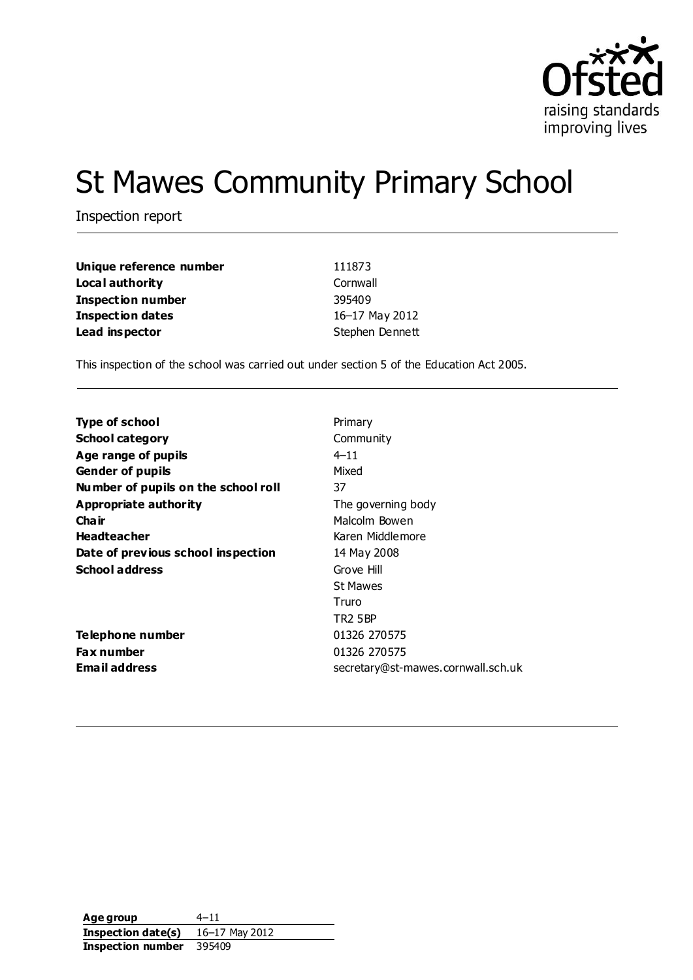

# St Mawes Community Primary School

Inspection report

| Unique reference number  | 111873          |
|--------------------------|-----------------|
| Local authority          | Cornwall        |
| <b>Inspection number</b> | 395409          |
| <b>Inspection dates</b>  | 16-17 May 2012  |
| Lead inspector           | Stephen Dennett |

This inspection of the school was carried out under section 5 of the Education Act 2005.

| Type of school                      | Primary                            |
|-------------------------------------|------------------------------------|
| <b>School category</b>              | Community                          |
| Age range of pupils                 | $4 - 11$                           |
| <b>Gender of pupils</b>             | Mixed                              |
| Number of pupils on the school roll | 37                                 |
| Appropriate authority               | The governing body                 |
| Cha ir                              | Malcolm Bowen                      |
| <b>Headteacher</b>                  | Karen Middlemore                   |
| Date of previous school inspection  | 14 May 2008                        |
| <b>School address</b>               | Grove Hill                         |
|                                     | <b>St Mawes</b>                    |
|                                     | Truro                              |
|                                     | <b>TR2 5BP</b>                     |
| Telephone number                    | 01326 270575                       |
| <b>Fax number</b>                   | 01326 270575                       |
| <b>Email address</b>                | secretary@st-mawes.cornwall.sch.uk |
|                                     |                                    |

| Age group          | $4 - 11$       |
|--------------------|----------------|
| Inspection date(s) | 16-17 May 2012 |
| Inspection number  | 395409         |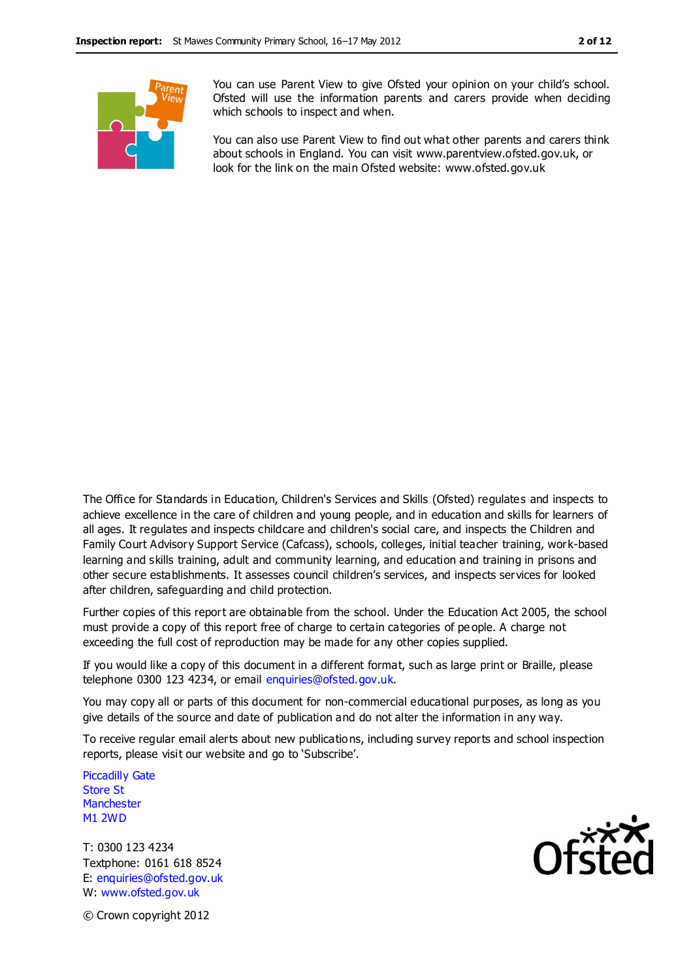

You can use Parent View to give Ofsted your opinion on your child's school. Ofsted will use the information parents and carers provide when deciding which schools to inspect and when.

You can also use Parent View to find out what other parents and carers think about schools in England. You can visit www.parentview.ofsted.gov.uk, or look for the link on the main Ofsted website: www.ofsted.gov.uk

The Office for Standards in Education, Children's Services and Skills (Ofsted) regulates and inspects to achieve excellence in the care of children and young people, and in education and skills for learners of all ages. It regulates and inspects childcare and children's social care, and inspects the Children and Family Court Advisory Support Service (Cafcass), schools, colleges, initial teacher training, work-based learning and skills training, adult and community learning, and education and training in prisons and other secure establishments. It assesses council children's services, and inspects services for looked after children, safeguarding and child protection.

Further copies of this report are obtainable from the school. Under the Education Act 2005, the school must provide a copy of this report free of charge to certain categories of pe ople. A charge not exceeding the full cost of reproduction may be made for any other copies supplied.

If you would like a copy of this document in a different format, such as large print or Braille, please telephone 0300 123 4234, or email enquiries@ofsted.gov.uk.

You may copy all or parts of this document for non-commercial educational purposes, as long as you give details of the source and date of publication and do not alter the information in any way.

To receive regular email alerts about new publications, including survey reports and school inspection reports, please visit our website and go to 'Subscribe'.

Piccadilly Gate Store St **Manchester** M1 2WD

T: 0300 123 4234 Textphone: 0161 618 8524 E: enquiries@ofsted.gov.uk W: www.ofsted.gov.uk



© Crown copyright 2012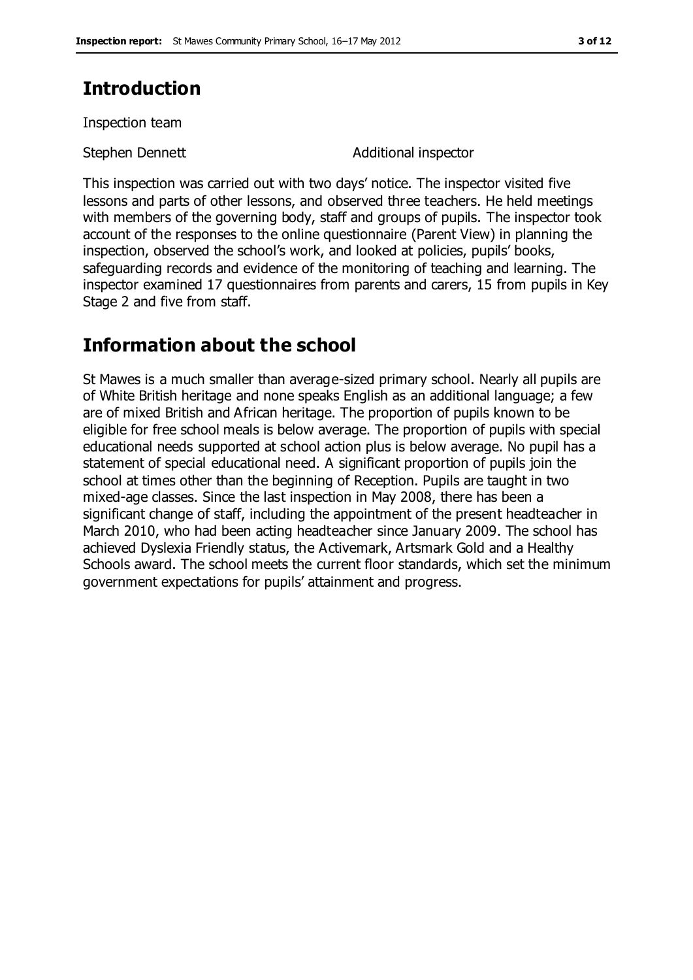### **Introduction**

Inspection team

Stephen Dennett **Additional inspector** 

This inspection was carried out with two days' notice. The inspector visited five lessons and parts of other lessons, and observed three teachers. He held meetings with members of the governing body, staff and groups of pupils. The inspector took account of the responses to the online questionnaire (Parent View) in planning the inspection, observed the school's work, and looked at policies, pupils' books, safeguarding records and evidence of the monitoring of teaching and learning. The inspector examined 17 questionnaires from parents and carers, 15 from pupils in Key Stage 2 and five from staff.

### **Information about the school**

St Mawes is a much smaller than average-sized primary school. Nearly all pupils are of White British heritage and none speaks English as an additional language; a few are of mixed British and African heritage. The proportion of pupils known to be eligible for free school meals is below average. The proportion of pupils with special educational needs supported at school action plus is below average. No pupil has a statement of special educational need. A significant proportion of pupils join the school at times other than the beginning of Reception. Pupils are taught in two mixed-age classes. Since the last inspection in May 2008, there has been a significant change of staff, including the appointment of the present headteacher in March 2010, who had been acting headteacher since January 2009. The school has achieved Dyslexia Friendly status, the Activemark, Artsmark Gold and a Healthy Schools award. The school meets the current floor standards, which set the minimum government expectations for pupils' attainment and progress.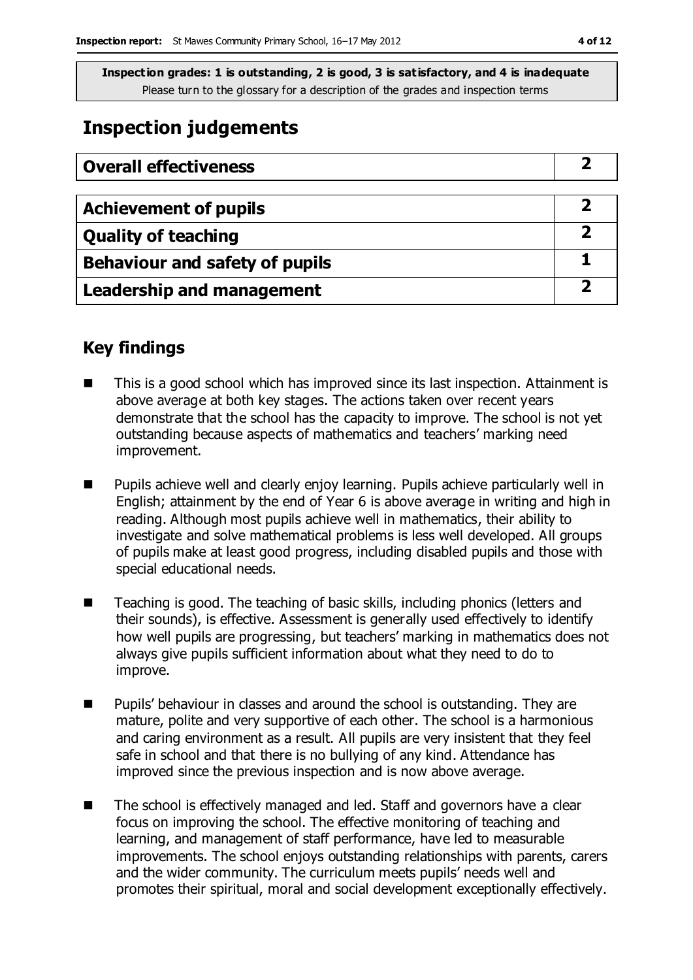### **Inspection judgements**

| <b>Overall effectiveness</b>          |  |
|---------------------------------------|--|
|                                       |  |
| <b>Achievement of pupils</b>          |  |
| <b>Quality of teaching</b>            |  |
| <b>Behaviour and safety of pupils</b> |  |
| <b>Leadership and management</b>      |  |

#### **Key findings**

- This is a good school which has improved since its last inspection. Attainment is above average at both key stages. The actions taken over recent years demonstrate that the school has the capacity to improve. The school is not yet outstanding because aspects of mathematics and teachers' marking need improvement.
- **Pupils achieve well and clearly enjoy learning. Pupils achieve particularly well in** English; attainment by the end of Year 6 is above average in writing and high in reading. Although most pupils achieve well in mathematics, their ability to investigate and solve mathematical problems is less well developed. All groups of pupils make at least good progress, including disabled pupils and those with special educational needs.
- Teaching is good. The teaching of basic skills, including phonics (letters and their sounds), is effective. Assessment is generally used effectively to identify how well pupils are progressing, but teachers' marking in mathematics does not always give pupils sufficient information about what they need to do to improve.
- **Pupils' behaviour in classes and around the school is outstanding. They are** mature, polite and very supportive of each other. The school is a harmonious and caring environment as a result. All pupils are very insistent that they feel safe in school and that there is no bullying of any kind. Attendance has improved since the previous inspection and is now above average.
- The school is effectively managed and led. Staff and governors have a clear focus on improving the school. The effective monitoring of teaching and learning, and management of staff performance, have led to measurable improvements. The school enjoys outstanding relationships with parents, carers and the wider community. The curriculum meets pupils' needs well and promotes their spiritual, moral and social development exceptionally effectively.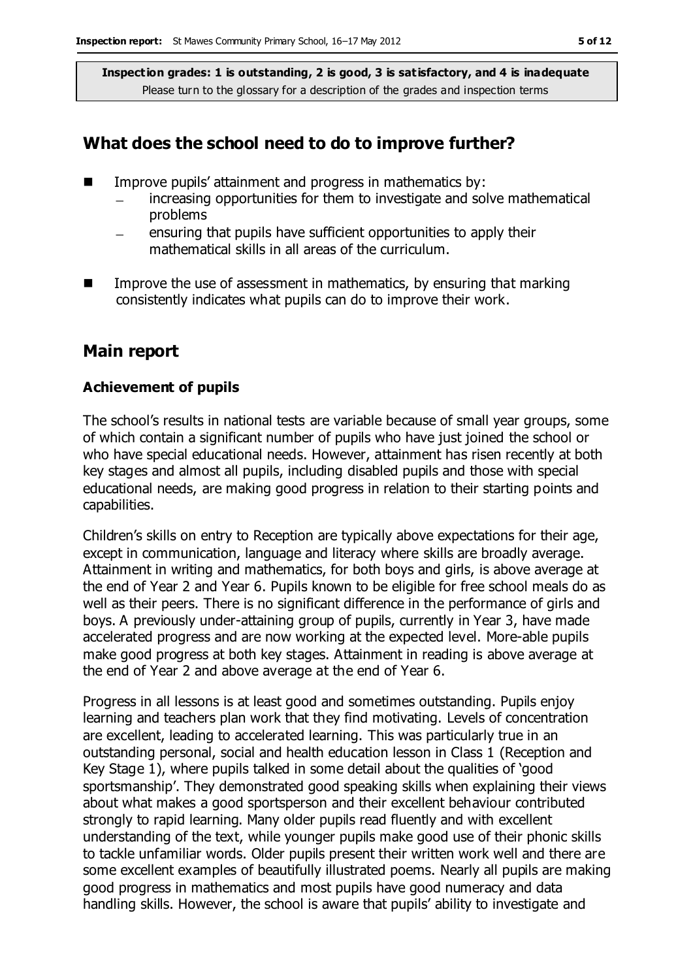#### **What does the school need to do to improve further?**

- $\blacksquare$  Improve pupils' attainment and progress in mathematics by:
	- increasing opportunities for them to investigate and solve mathematical problems
	- ensuring that pupils have sufficient opportunities to apply their mathematical skills in all areas of the curriculum.
- Improve the use of assessment in mathematics, by ensuring that marking consistently indicates what pupils can do to improve their work.

#### **Main report**

#### **Achievement of pupils**

The school's results in national tests are variable because of small year groups, some of which contain a significant number of pupils who have just joined the school or who have special educational needs. However, attainment has risen recently at both key stages and almost all pupils, including disabled pupils and those with special educational needs, are making good progress in relation to their starting points and capabilities.

Children's skills on entry to Reception are typically above expectations for their age, except in communication, language and literacy where skills are broadly average. Attainment in writing and mathematics, for both boys and girls, is above average at the end of Year 2 and Year 6. Pupils known to be eligible for free school meals do as well as their peers. There is no significant difference in the performance of girls and boys. A previously under-attaining group of pupils, currently in Year 3, have made accelerated progress and are now working at the expected level. More-able pupils make good progress at both key stages. Attainment in reading is above average at the end of Year 2 and above average at the end of Year 6.

Progress in all lessons is at least good and sometimes outstanding. Pupils enjoy learning and teachers plan work that they find motivating. Levels of concentration are excellent, leading to accelerated learning. This was particularly true in an outstanding personal, social and health education lesson in Class 1 (Reception and Key Stage 1), where pupils talked in some detail about the qualities of 'good sportsmanship'. They demonstrated good speaking skills when explaining their views about what makes a good sportsperson and their excellent behaviour contributed strongly to rapid learning. Many older pupils read fluently and with excellent understanding of the text, while younger pupils make good use of their phonic skills to tackle unfamiliar words. Older pupils present their written work well and there are some excellent examples of beautifully illustrated poems. Nearly all pupils are making good progress in mathematics and most pupils have good numeracy and data handling skills. However, the school is aware that pupils' ability to investigate and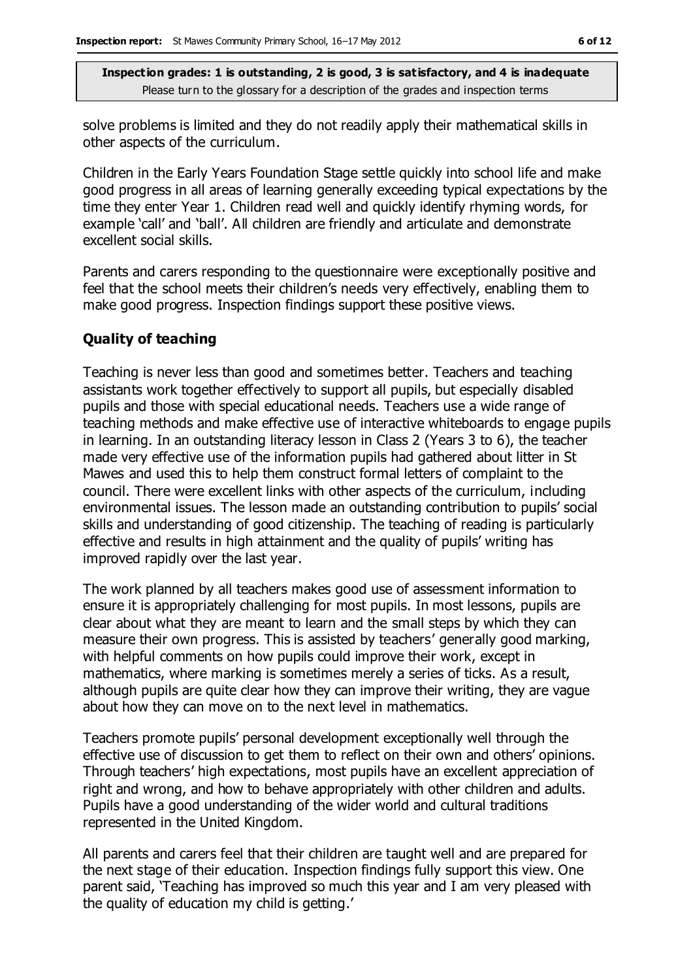solve problems is limited and they do not readily apply their mathematical skills in other aspects of the curriculum.

Children in the Early Years Foundation Stage settle quickly into school life and make good progress in all areas of learning generally exceeding typical expectations by the time they enter Year 1. Children read well and quickly identify rhyming words, for example 'call' and 'ball'. All children are friendly and articulate and demonstrate excellent social skills.

Parents and carers responding to the questionnaire were exceptionally positive and feel that the school meets their children's needs very effectively, enabling them to make good progress. Inspection findings support these positive views.

#### **Quality of teaching**

Teaching is never less than good and sometimes better. Teachers and teaching assistants work together effectively to support all pupils, but especially disabled pupils and those with special educational needs. Teachers use a wide range of teaching methods and make effective use of interactive whiteboards to engage pupils in learning. In an outstanding literacy lesson in Class 2 (Years 3 to 6), the teacher made very effective use of the information pupils had gathered about litter in St Mawes and used this to help them construct formal letters of complaint to the council. There were excellent links with other aspects of the curriculum, including environmental issues. The lesson made an outstanding contribution to pupils' social skills and understanding of good citizenship. The teaching of reading is particularly effective and results in high attainment and the quality of pupils' writing has improved rapidly over the last year.

The work planned by all teachers makes good use of assessment information to ensure it is appropriately challenging for most pupils. In most lessons, pupils are clear about what they are meant to learn and the small steps by which they can measure their own progress. This is assisted by teachers' generally good marking, with helpful comments on how pupils could improve their work, except in mathematics, where marking is sometimes merely a series of ticks. As a result, although pupils are quite clear how they can improve their writing, they are vague about how they can move on to the next level in mathematics.

Teachers promote pupils' personal development exceptionally well through the effective use of discussion to get them to reflect on their own and others' opinions. Through teachers' high expectations, most pupils have an excellent appreciation of right and wrong, and how to behave appropriately with other children and adults. Pupils have a good understanding of the wider world and cultural traditions represented in the United Kingdom.

All parents and carers feel that their children are taught well and are prepared for the next stage of their education. Inspection findings fully support this view. One parent said, 'Teaching has improved so much this year and I am very pleased with the quality of education my child is getting.'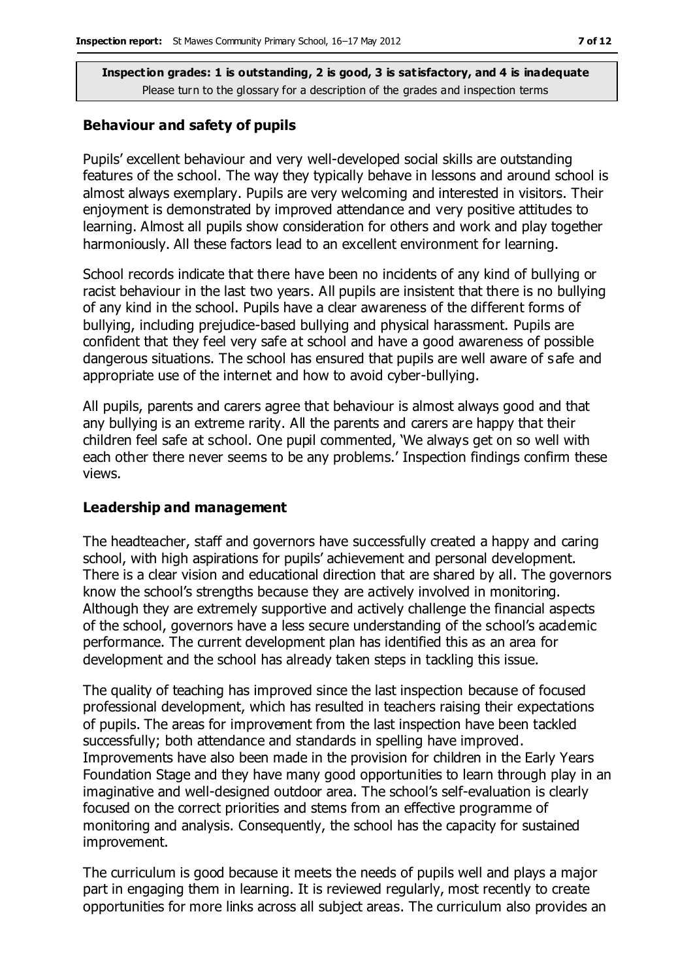#### **Behaviour and safety of pupils**

Pupils' excellent behaviour and very well-developed social skills are outstanding features of the school. The way they typically behave in lessons and around school is almost always exemplary. Pupils are very welcoming and interested in visitors. Their enjoyment is demonstrated by improved attendance and very positive attitudes to learning. Almost all pupils show consideration for others and work and play together harmoniously. All these factors lead to an excellent environment for learning.

School records indicate that there have been no incidents of any kind of bullying or racist behaviour in the last two years. All pupils are insistent that there is no bullying of any kind in the school. Pupils have a clear awareness of the different forms of bullying, including prejudice-based bullying and physical harassment. Pupils are confident that they feel very safe at school and have a good awareness of possible dangerous situations. The school has ensured that pupils are well aware of safe and appropriate use of the internet and how to avoid cyber-bullying.

All pupils, parents and carers agree that behaviour is almost always good and that any bullying is an extreme rarity. All the parents and carers are happy that their children feel safe at school. One pupil commented, 'We always get on so well with each other there never seems to be any problems.' Inspection findings confirm these views.

#### **Leadership and management**

The headteacher, staff and governors have successfully created a happy and caring school, with high aspirations for pupils' achievement and personal development. There is a clear vision and educational direction that are shared by all. The governors know the school's strengths because they are actively involved in monitoring. Although they are extremely supportive and actively challenge the financial aspects of the school, governors have a less secure understanding of the school's academic performance. The current development plan has identified this as an area for development and the school has already taken steps in tackling this issue.

The quality of teaching has improved since the last inspection because of focused professional development, which has resulted in teachers raising their expectations of pupils. The areas for improvement from the last inspection have been tackled successfully; both attendance and standards in spelling have improved. Improvements have also been made in the provision for children in the Early Years Foundation Stage and they have many good opportunities to learn through play in an imaginative and well-designed outdoor area. The school's self-evaluation is clearly focused on the correct priorities and stems from an effective programme of monitoring and analysis. Consequently, the school has the capacity for sustained improvement.

The curriculum is good because it meets the needs of pupils well and plays a major part in engaging them in learning. It is reviewed regularly, most recently to create opportunities for more links across all subject areas. The curriculum also provides an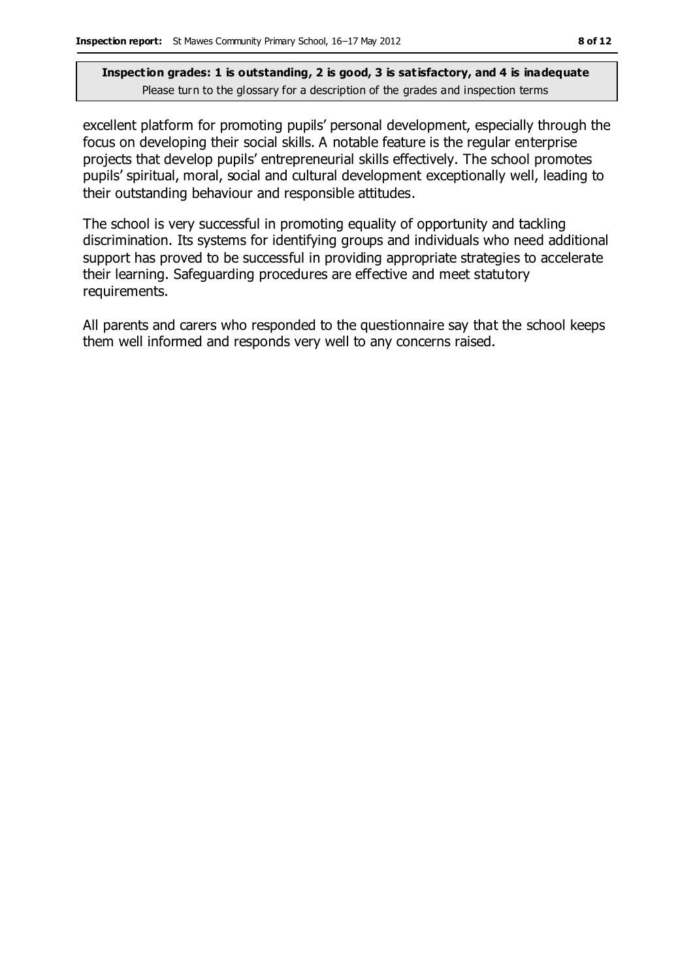excellent platform for promoting pupils' personal development, especially through the focus on developing their social skills. A notable feature is the regular enterprise projects that develop pupils' entrepreneurial skills effectively. The school promotes pupils' spiritual, moral, social and cultural development exceptionally well, leading to their outstanding behaviour and responsible attitudes.

The school is very successful in promoting equality of opportunity and tackling discrimination. Its systems for identifying groups and individuals who need additional support has proved to be successful in providing appropriate strategies to accelerate their learning. Safeguarding procedures are effective and meet statutory requirements.

All parents and carers who responded to the questionnaire say that the school keeps them well informed and responds very well to any concerns raised.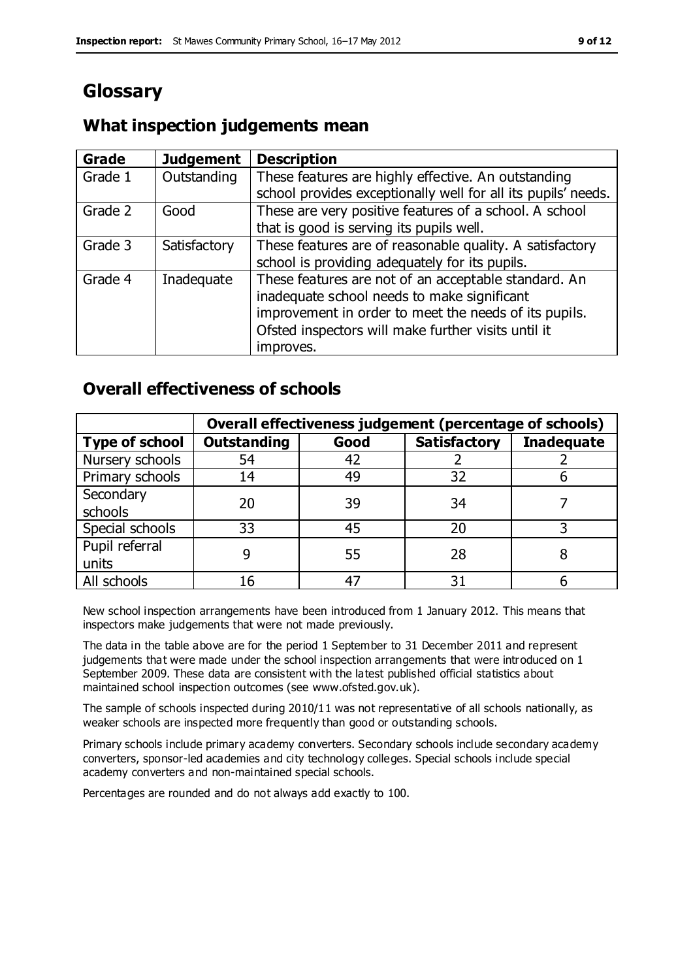## **Glossary**

#### **Grade Judgement Description** Grade  $1$  | Outstanding | These features are highly effective. An outstanding school provides exceptionally well for all its pupils' needs. Grade 2 Good These are very positive features of a school. A school that is good is serving its pupils well. Grade 3  $\parallel$  Satisfactory  $\parallel$  These features are of reasonable quality. A satisfactory school is providing adequately for its pupils. Grade 4  $\parallel$  Inadequate  $\parallel$  These features are not of an acceptable standard. An inadequate school needs to make significant improvement in order to meet the needs of its pupils. Ofsted inspectors will make further visits until it improves.

### **What inspection judgements mean**

### **Overall effectiveness of schools**

|                       |                    |      | Overall effectiveness judgement (percentage of schools) |                   |
|-----------------------|--------------------|------|---------------------------------------------------------|-------------------|
| <b>Type of school</b> | <b>Outstanding</b> | Good | <b>Satisfactory</b>                                     | <b>Inadequate</b> |
| Nursery schools       | 54                 | 42   |                                                         |                   |
| Primary schools       | 14                 | 49   | 32                                                      |                   |
| Secondary             | 20                 | 39   | 34                                                      |                   |
| schools               |                    |      |                                                         |                   |
| Special schools       | 33                 | 45   | 20                                                      |                   |
| Pupil referral        |                    | 55   | 28                                                      |                   |
| units                 |                    |      |                                                         |                   |
| All schools           |                    |      | م -                                                     |                   |

New school inspection arrangements have been introduced from 1 January 2012. This means that inspectors make judgements that were not made previously.

The data in the table above are for the period 1 September to 31 December 2011 and represent judgements that were made under the school inspection arrangements that were introduced on 1 September 2009. These data are consistent with the latest published official statistics about maintained school inspection outcomes (see www.ofsted.gov.uk).

The sample of schools inspected during 2010/11 was not representative of all schools nationally, as weaker schools are inspected more frequently than good or outstanding schools.

Primary schools include primary academy converters. Secondary schools include secondary academy converters, sponsor-led academies and city technology colleges. Special schools include special academy converters and non-maintained special schools.

Percentages are rounded and do not always add exactly to 100.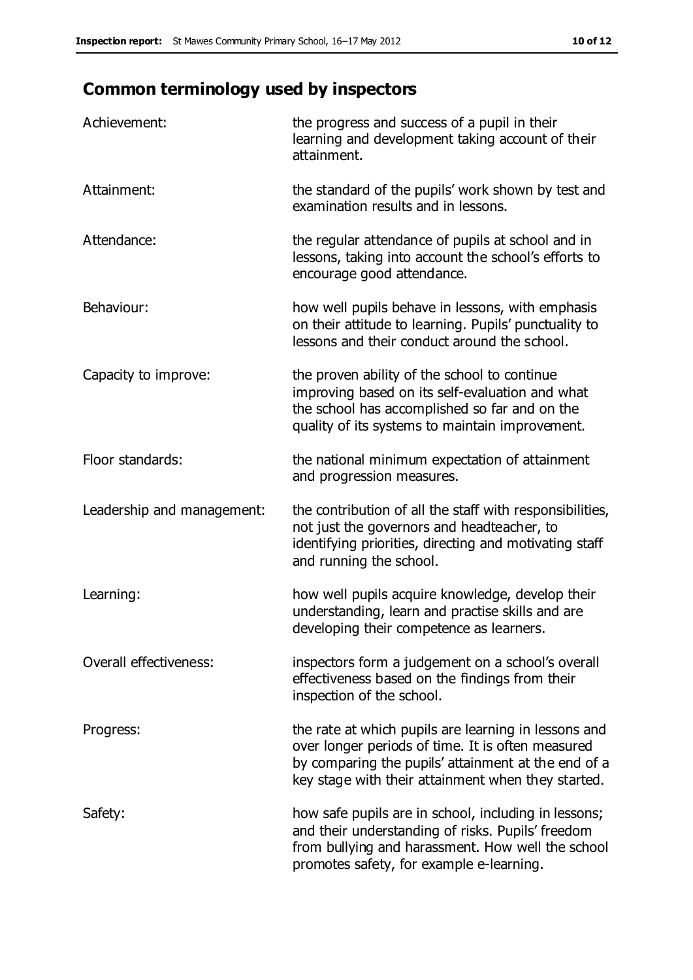## **Common terminology used by inspectors**

| Achievement:               | the progress and success of a pupil in their<br>learning and development taking account of their<br>attainment.                                                                                                        |
|----------------------------|------------------------------------------------------------------------------------------------------------------------------------------------------------------------------------------------------------------------|
| Attainment:                | the standard of the pupils' work shown by test and<br>examination results and in lessons.                                                                                                                              |
| Attendance:                | the regular attendance of pupils at school and in<br>lessons, taking into account the school's efforts to<br>encourage good attendance.                                                                                |
| Behaviour:                 | how well pupils behave in lessons, with emphasis<br>on their attitude to learning. Pupils' punctuality to<br>lessons and their conduct around the school.                                                              |
| Capacity to improve:       | the proven ability of the school to continue<br>improving based on its self-evaluation and what<br>the school has accomplished so far and on the<br>quality of its systems to maintain improvement.                    |
| Floor standards:           | the national minimum expectation of attainment<br>and progression measures.                                                                                                                                            |
| Leadership and management: | the contribution of all the staff with responsibilities,<br>not just the governors and headteacher, to<br>identifying priorities, directing and motivating staff<br>and running the school.                            |
| Learning:                  | how well pupils acquire knowledge, develop their<br>understanding, learn and practise skills and are<br>developing their competence as learners.                                                                       |
| Overall effectiveness:     | inspectors form a judgement on a school's overall<br>effectiveness based on the findings from their<br>inspection of the school.                                                                                       |
| Progress:                  | the rate at which pupils are learning in lessons and<br>over longer periods of time. It is often measured<br>by comparing the pupils' attainment at the end of a<br>key stage with their attainment when they started. |
| Safety:                    | how safe pupils are in school, including in lessons;<br>and their understanding of risks. Pupils' freedom<br>from bullying and harassment. How well the school<br>promotes safety, for example e-learning.             |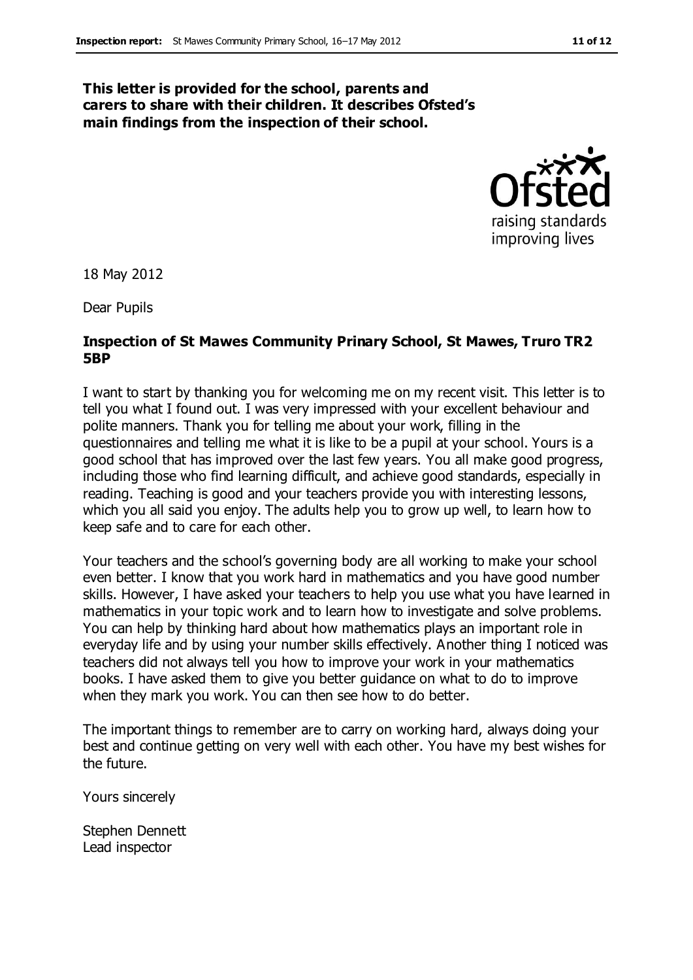#### **This letter is provided for the school, parents and carers to share with their children. It describes Ofsted's main findings from the inspection of their school.**



18 May 2012

Dear Pupils

#### **Inspection of St Mawes Community Prinary School, St Mawes, Truro TR2 5BP**

I want to start by thanking you for welcoming me on my recent visit. This letter is to tell you what I found out. I was very impressed with your excellent behaviour and polite manners. Thank you for telling me about your work, filling in the questionnaires and telling me what it is like to be a pupil at your school. Yours is a good school that has improved over the last few years. You all make good progress, including those who find learning difficult, and achieve good standards, especially in reading. Teaching is good and your teachers provide you with interesting lessons, which you all said you enjoy. The adults help you to grow up well, to learn how to keep safe and to care for each other.

Your teachers and the school's governing body are all working to make your school even better. I know that you work hard in mathematics and you have good number skills. However, I have asked your teachers to help you use what you have learned in mathematics in your topic work and to learn how to investigate and solve problems. You can help by thinking hard about how mathematics plays an important role in everyday life and by using your number skills effectively. Another thing I noticed was teachers did not always tell you how to improve your work in your mathematics books. I have asked them to give you better guidance on what to do to improve when they mark you work. You can then see how to do better.

The important things to remember are to carry on working hard, always doing your best and continue getting on very well with each other. You have my best wishes for the future.

Yours sincerely

Stephen Dennett Lead inspector